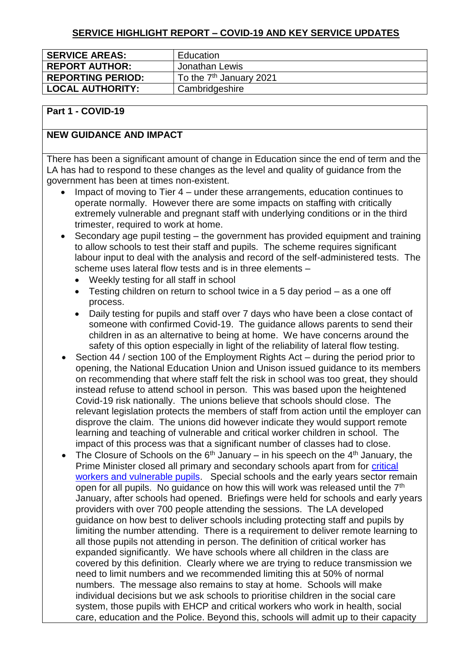### **SERVICE HIGHLIGHT REPORT – COVID-19 AND KEY SERVICE UPDATES**

| <b>SERVICE AREAS:</b>    | Education                           |
|--------------------------|-------------------------------------|
| <b>REPORT AUTHOR:</b>    | Jonathan Lewis                      |
| <b>REPORTING PERIOD:</b> | To the 7 <sup>th</sup> January 2021 |
| <b>LOCAL AUTHORITY:</b>  | Cambridgeshire                      |

#### **Part 1 - COVID-19**

### **NEW GUIDANCE AND IMPACT**

There has been a significant amount of change in Education since the end of term and the LA has had to respond to these changes as the level and quality of guidance from the government has been at times non-existent.

- Impact of moving to Tier 4 under these arrangements, education continues to operate normally. However there are some impacts on staffing with critically extremely vulnerable and pregnant staff with underlying conditions or in the third trimester, required to work at home.
- Secondary age pupil testing the government has provided equipment and training to allow schools to test their staff and pupils. The scheme requires significant labour input to deal with the analysis and record of the self-administered tests. The scheme uses lateral flow tests and is in three elements –
	- Weekly testing for all staff in school
	- Testing children on return to school twice in a 5 day period as a one off process.
	- Daily testing for pupils and staff over 7 days who have been a close contact of someone with confirmed Covid-19. The guidance allows parents to send their children in as an alternative to being at home. We have concerns around the safety of this option especially in light of the reliability of lateral flow testing.
- Section 44 / section 100 of the Employment Rights Act during the period prior to opening, the National Education Union and Unison issued guidance to its members on recommending that where staff felt the risk in school was too great, they should instead refuse to attend school in person. This was based upon the heightened Covid-19 risk nationally. The unions believe that schools should close. The relevant legislation protects the members of staff from action until the employer can disprove the claim. The unions did however indicate they would support remote learning and teaching of vulnerable and critical worker children in school. The impact of this process was that a significant number of classes had to close.
- The Closure of Schools on the  $6<sup>th</sup>$  January in his speech on the  $4<sup>th</sup>$  January, the Prime Minister closed all primary and secondary schools apart from for critical [workers and vulnerable pupils.](https://www.gov.uk/government/publications/coronavirus-covid-19-maintaining-educational-provision/guidance-for-schools-colleges-and-local-authorities-on-maintaining-educational-provision) Special schools and the early years sector remain open for all pupils. No quidance on how this will work was released until the 7<sup>th</sup> January, after schools had opened. Briefings were held for schools and early years providers with over 700 people attending the sessions. The LA developed guidance on how best to deliver schools including protecting staff and pupils by limiting the number attending. There is a requirement to deliver remote learning to all those pupils not attending in person. The definition of critical worker has expanded significantly. We have schools where all children in the class are covered by this definition. Clearly where we are trying to reduce transmission we need to limit numbers and we recommended limiting this at 50% of normal numbers. The message also remains to stay at home. Schools will make individual decisions but we ask schools to prioritise children in the social care system, those pupils with EHCP and critical workers who work in health, social care, education and the Police. Beyond this, schools will admit up to their capacity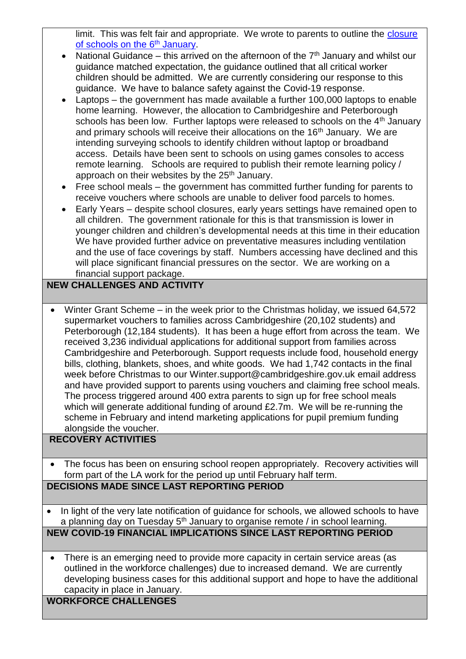limit. This was felt fair and appropriate. We wrote to parents to outline the closure [of schools on the 6](https://www.cambslearntogether.co.uk/asset-library/Parent-Letter-January-Lockdown.docx.pdf)<sup>th</sup> January.

- National Guidance this arrived on the afternoon of the  $7<sup>th</sup>$  January and whilst our guidance matched expectation, the guidance outlined that all critical worker children should be admitted. We are currently considering our response to this guidance. We have to balance safety against the Covid-19 response.
- Laptops the government has made available a further 100,000 laptops to enable home learning. However, the allocation to Cambridgeshire and Peterborough schools has been low. Further laptops were released to schools on the 4<sup>th</sup> January and primary schools will receive their allocations on the 16<sup>th</sup> January. We are intending surveying schools to identify children without laptop or broadband access. Details have been sent to schools on using games consoles to access remote learning. Schools are required to publish their remote learning policy / approach on their websites by the 25<sup>th</sup> January.
- Free school meals the government has committed further funding for parents to receive vouchers where schools are unable to deliver food parcels to homes.
- Early Years despite school closures, early years settings have remained open to all children. The government rationale for this is that transmission is lower in younger children and children's developmental needs at this time in their education We have provided further advice on preventative measures including ventilation and the use of face coverings by staff. Numbers accessing have declined and this will place significant financial pressures on the sector. We are working on a financial support package.

# **NEW CHALLENGES AND ACTIVITY**

 Winter Grant Scheme – in the week prior to the Christmas holiday, we issued 64,572 supermarket vouchers to families across Cambridgeshire (20,102 students) and Peterborough (12,184 students). It has been a huge effort from across the team. We received 3,236 individual applications for additional support from families across Cambridgeshire and Peterborough. Support requests include food, household energy bills, clothing, blankets, shoes, and white goods. We had 1,742 contacts in the final week before Christmas to our Winter.support@cambridgeshire.gov.uk email address and have provided support to parents using vouchers and claiming free school meals. The process triggered around 400 extra parents to sign up for free school meals which will generate additional funding of around £2.7m. We will be re-running the scheme in February and intend marketing applications for pupil premium funding alongside the voucher.

## **RECOVERY ACTIVITIES**

- The focus has been on ensuring school reopen appropriately. Recovery activities will form part of the LA work for the period up until February half term. **DECISIONS MADE SINCE LAST REPORTING PERIOD**
- In light of the very late notification of guidance for schools, we allowed schools to have a planning day on Tuesday  $5<sup>th</sup>$  January to organise remote / in school learning.

## **NEW COVID-19 FINANCIAL IMPLICATIONS SINCE LAST REPORTING PERIOD**

 There is an emerging need to provide more capacity in certain service areas (as outlined in the workforce challenges) due to increased demand. We are currently developing business cases for this additional support and hope to have the additional capacity in place in January.

**WORKFORCE CHALLENGES**